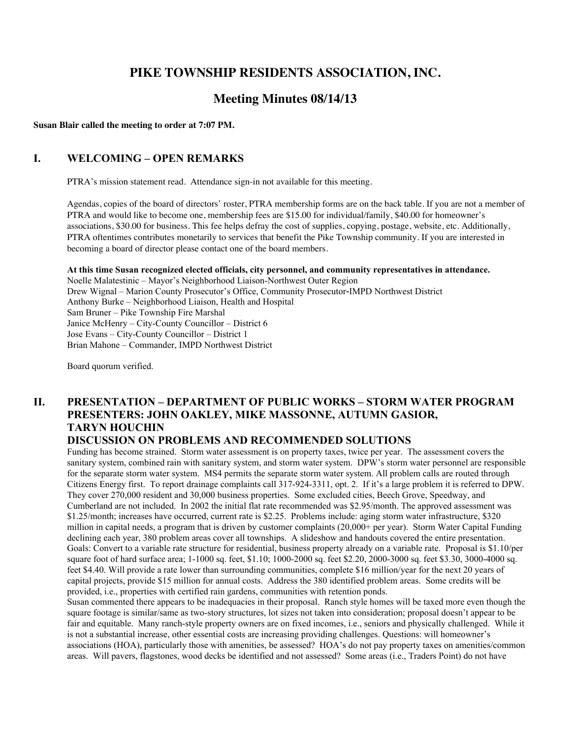# **PIKE TOWNSHIP RESIDENTS ASSOCIATION, INC.**

# **Meeting Minutes 08/14/13**

**Susan Blair called the meeting to order at 7:07 PM.**

### **I. WELCOMING – OPEN REMARKS**

PTRA's mission statement read. Attendance sign-in not available for this meeting.

Agendas, copies of the board of directors' roster, PTRA membership forms are on the back table. If you are not a member of PTRA and would like to become one, membership fees are \$15.00 for individual/family, \$40.00 for homeowner's associations, \$30.00 for business. This fee helps defray the cost of supplies, copying, postage, website, etc. Additionally, PTRA oftentimes contributes monetarily to services that benefit the Pike Township community. If you are interested in becoming a board of director please contact one of the board members.

#### **At this time Susan recognized elected officials, city personnel, and community representatives in attendance.**

Noelle Malatestinic – Mayor's Neighborhood Liaison-Northwest Outer Region Drew Wignal – Marion County Prosecutor's Office, Community Prosecutor-IMPD Northwest District Anthony Burke – Neighborhood Liaison, Health and Hospital Sam Bruner – Pike Township Fire Marshal Janice McHenry – City-County Councillor – District 6 Jose Evans – City-County Councillor – District 1 Brian Mahone – Commander, IMPD Northwest District

Board quorum verified.

# **II. PRESENTATION – DEPARTMENT OF PUBLIC WORKS – STORM WATER PROGRAM PRESENTERS: JOHN OAKLEY, MIKE MASSONNE, AUTUMN GASIOR, TARYN HOUCHIN**

#### **DISCUSSION ON PROBLEMS AND RECOMMENDED SOLUTIONS**

Funding has become strained. Storm water assessment is on property taxes, twice per year. The assessment covers the sanitary system, combined rain with sanitary system, and storm water system. DPW's storm water personnel are responsible for the separate storm water system. MS4 permits the separate storm water system. All problem calls are routed through Citizens Energy first. To report drainage complaints call 317-924-3311, opt. 2. If it's a large problem it is referred to DPW. They cover 270,000 resident and 30,000 business properties. Some excluded cities, Beech Grove, Speedway, and Cumberland are not included. In 2002 the initial flat rate recommended was \$2.95/month. The approved assessment was \$1.25/month; increases have occurred, current rate is \$2.25. Problems include: aging storm water infrastructure, \$320 million in capital needs, a program that is driven by customer complaints (20,000+ per year). Storm Water Capital Funding declining each year, 380 problem areas cover all townships. A slideshow and handouts covered the entire presentation. Goals: Convert to a variable rate structure for residential, business property already on a variable rate. Proposal is \$1.10/per square foot of hard surface area; 1-1000 sq. feet, \$1.10; 1000-2000 sq. feet \$2.20, 2000-3000 sq. feet \$3.30, 3000-4000 sq. feet \$4.40. Will provide a rate lower than surrounding communities, complete \$16 million/year for the next 20 years of capital projects, provide \$15 million for annual costs. Address the 380 identified problem areas. Some credits will be provided, i.e., properties with certified rain gardens, communities with retention ponds.

Susan commented there appears to be inadequacies in their proposal. Ranch style homes will be taxed more even though the square footage is similar/same as two-story structures, lot sizes not taken into consideration; proposal doesn't appear to be fair and equitable. Many ranch-style property owners are on fixed incomes, i.e., seniors and physically challenged. While it is not a substantial increase, other essential costs are increasing providing challenges. Questions: will homeowner's associations (HOA), particularly those with amenities, be assessed? HOA's do not pay property taxes on amenities/common areas. Will pavers, flagstones, wood decks be identified and not assessed? Some areas (i.e., Traders Point) do not have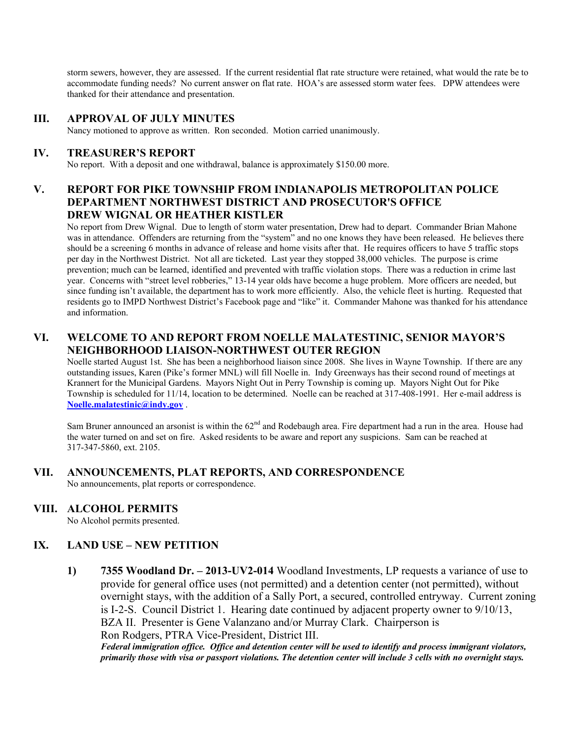storm sewers, however, they are assessed. If the current residential flat rate structure were retained, what would the rate be to accommodate funding needs? No current answer on flat rate. HOA's are assessed storm water fees. DPW attendees were thanked for their attendance and presentation.

# **III. APPROVAL OF JULY MINUTES**

Nancy motioned to approve as written. Ron seconded. Motion carried unanimously.

### **IV. TREASURER'S REPORT**

No report. With a deposit and one withdrawal, balance is approximately \$150.00 more.

# **V. REPORT FOR PIKE TOWNSHIP FROM INDIANAPOLIS METROPOLITAN POLICE DEPARTMENT NORTHWEST DISTRICT AND PROSECUTOR'S OFFICE DREW WIGNAL OR HEATHER KISTLER**

No report from Drew Wignal. Due to length of storm water presentation, Drew had to depart. Commander Brian Mahone was in attendance. Offenders are returning from the "system" and no one knows they have been released. He believes there should be a screening 6 months in advance of release and home visits after that. He requires officers to have 5 traffic stops per day in the Northwest District. Not all are ticketed. Last year they stopped 38,000 vehicles. The purpose is crime prevention; much can be learned, identified and prevented with traffic violation stops. There was a reduction in crime last year. Concerns with "street level robberies," 13-14 year olds have become a huge problem. More officers are needed, but since funding isn't available, the department has to work more efficiently. Also, the vehicle fleet is hurting. Requested that residents go to IMPD Northwest District's Facebook page and "like" it. Commander Mahone was thanked for his attendance and information.

# **VI. WELCOME TO AND REPORT FROM NOELLE MALATESTINIC, SENIOR MAYOR'S NEIGHBORHOOD LIAISON-NORTHWEST OUTER REGION**

Noelle started August 1st. She has been a neighborhood liaison since 2008. She lives in Wayne Township. If there are any outstanding issues, Karen (Pike's former MNL) will fill Noelle in. Indy Greenways has their second round of meetings at Krannert for the Municipal Gardens. Mayors Night Out in Perry Township is coming up. Mayors Night Out for Pike Township is scheduled for 11/14, location to be determined. Noelle can be reached at 317-408-1991. Her e-mail address is **Noelle.malatestinic@indy.gov** .

Sam Bruner announced an arsonist is within the 62<sup>nd</sup> and Rodebaugh area. Fire department had a run in the area. House had the water turned on and set on fire. Asked residents to be aware and report any suspicions. Sam can be reached at 317-347-5860, ext. 2105.

## **VII. ANNOUNCEMENTS, PLAT REPORTS, AND CORRESPONDENCE**

No announcements, plat reports or correspondence.

## **VIII. ALCOHOL PERMITS**

No Alcohol permits presented.

## **IX. LAND USE – NEW PETITION**

**1) 7355 Woodland Dr. – 2013-UV2-014** Woodland Investments, LP requests a variance of use to provide for general office uses (not permitted) and a detention center (not permitted), without overnight stays, with the addition of a Sally Port, a secured, controlled entryway. Current zoning is I-2-S. Council District 1. Hearing date continued by adjacent property owner to 9/10/13, BZA II. Presenter is Gene Valanzano and/or Murray Clark. Chairperson is Ron Rodgers, PTRA Vice-President, District III. *Federal immigration office. Office and detention center will be used to identify and process immigrant violators,*

*primarily those with visa or passport violations. The detention center will include 3 cells with no overnight stays.*